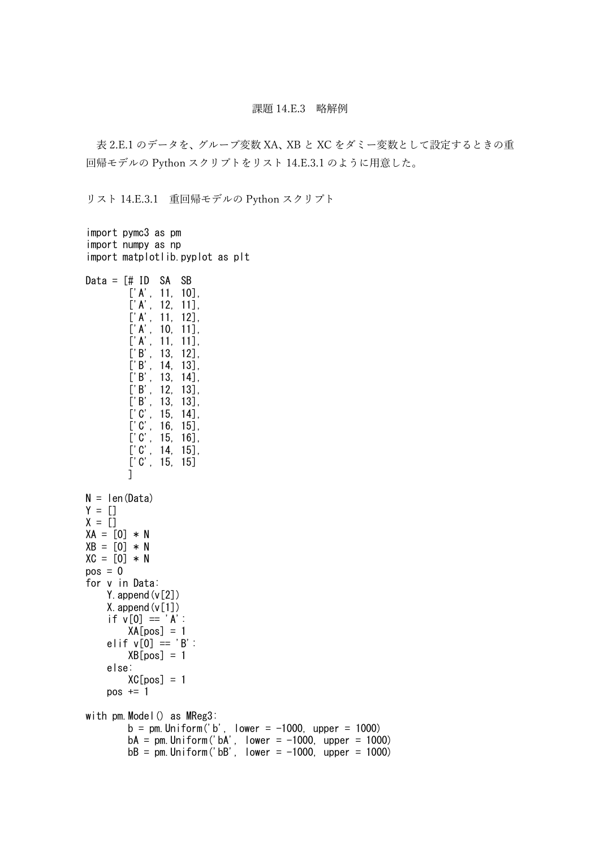## 課題 14.E.3 略解例

表 2.E.1 のデータを、グループ変数 XA、XB と XC をダミー変数として設定するときの重 回帰モデルの Python スクリプトをリスト 14.E.3.1 のように用意した。

リスト 14.E.3.1 重回帰モデルの Python スクリプト

```
import pymc3 as pm
import numpy as np
import matplotlib.pyplot as plt
Data = [# ID SA SB
        ['A', 11, 10],['A', 12, 11],['A', 11, 12],
        ['A', 10, 11],
        ['A', 11, 11],
        ['B', 13, 12],
        ['B', 14, 13],
        ['B', 13, 14],
        ['B', 12, 13],
        ['B', 13, 13],
        [°C', 15, 14],
        [°C', 16, 15],
        [°C', 15, 16],
        [°C', 14, 15],
        ['C', 15, 15]
        ]
N = len(Data)Y = []X = \lceilXA = [0] * NXB = [0] * NXC = \overline{[0]} * Npos = 0for v in Data:
    Y. append (v[2])
    X. append (v[1])if v[0] == 'A'.XA[pos] = 1elif v[0] == 'B':
        XB[pos] = 1else:
        XC[pos] = 1pos += 1with pm.Model() as MReg3:
        b = pm.Uniform('b', lower = -1000, upper = 1000)
        bA = pm. Uniform('bA', lower = -1000, upper = 1000)
        bB = pm. Uniform('bB', lower = -1000, upper = 1000)
```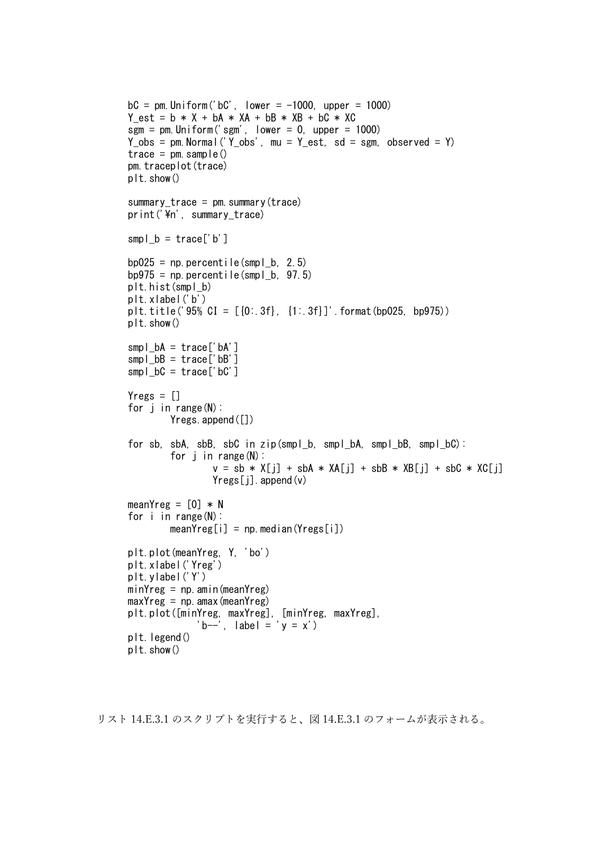```
bC = pm. Uniform ('bC', lower = -1000, upper = 1000)
Y est = b * X + bA * XA + bB * XB + bC * XC
sgm = pm. Uniform ('sgm', lower = 0, upper = 1000)
Y_{obs} = pm. Normal ('Y_{obs}', mu = Y_{est}, sd = sgm, observed = Y)
trace = pm. sample()
pm.traceplot(trace)
plt.show()
summary_trace = pm. summary (trace)
print('\n', summary_trace)
smpl b = \text{trace}['b']bp025 = np. percentile(smpl b. 2.5)
bp975 = np. percentile(smpl_b, 97.5)
plt.hist(smpl_b)
plt.xlabel('b')
plt.title('95% CI = [{0:.3f}, {1:.3f}]'.format(bp025, bp975))
plt.show()
smpl bA = \text{trace}['bA']smpl bB = \text{trace}['bB']smpl bC = \text{trace}['bC']Yregs = []for j in range(N):
        Yregs.append([])
for sb, sbA, sbB, sbC in zip(smpl_b, smpl_bA, smpl_bB, smpl_bC):
        for j in range(N):
                 v = sb * X[j] + sbA * XA[j] + sbB * XB[j] + sbC * XC[j]Yregs[i].append(y)meanYreg = [0] * N
for i in range(N):
        meanYreg[i] = np, median(Yregs[i])plt.plot(meanYreg, Y, 'bo')
plt.xlabel('Yreg')
plt.ylabel('Y')
minYreg = np. amin(meanYreg)
maxYreg = np. amaX(meanYreg)plt.plot([minYreg, maxYreg], [minYreg, maxYreg],
              'b--', label = 'y = x')
plt.legend()
plt.show()
```

```
リスト 14.E.3.1 のスクリプトを実行すると、図 14.E.3.1 のフォームが表示される。
```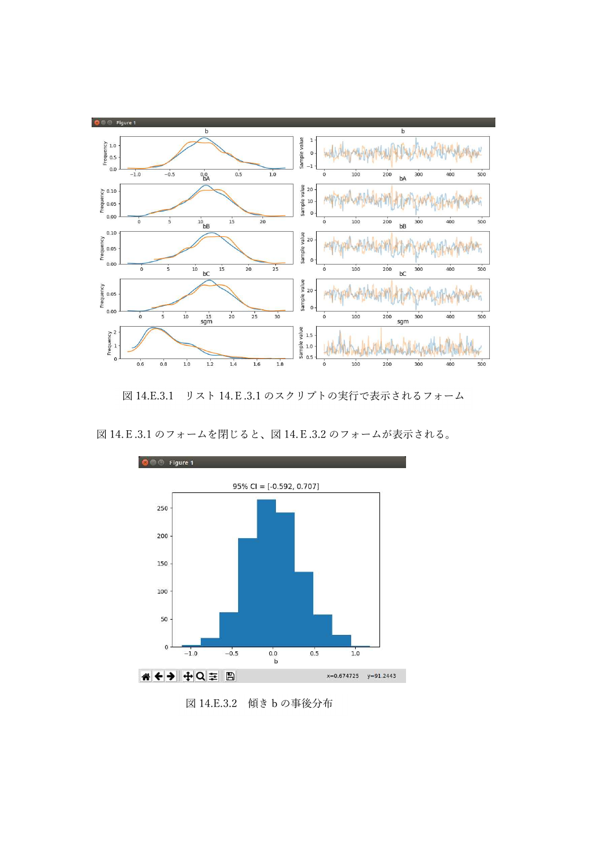

図 14.E.3.1 リスト 14.E.3.1 のスクリプトの実行で表示されるフォーム



図 14.E.3.1 のフォームを閉じると、図 14.E.3.2 のフォームが表示される。

図 14.E.3.2 傾き b の事後分布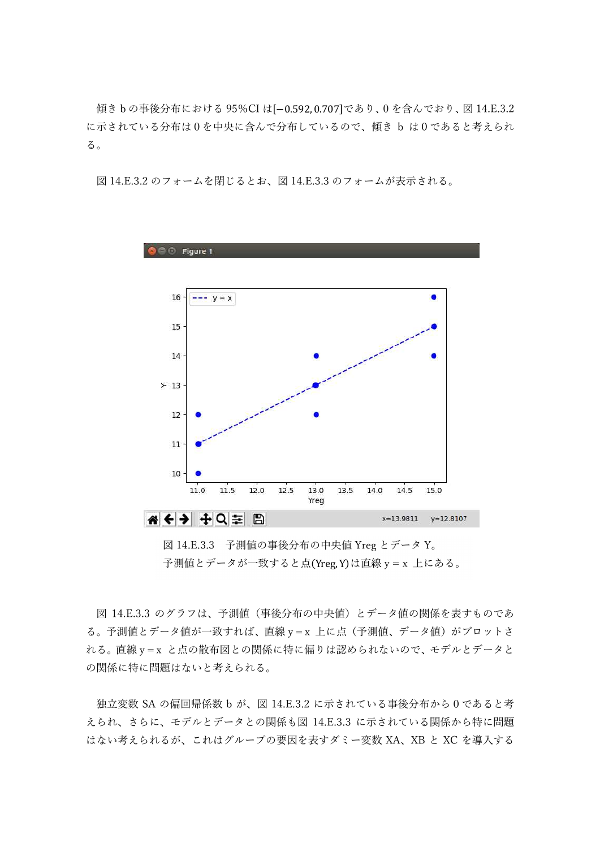傾きbの事後分布における 95%CI は[-0.592,0.707]であり、0 を含んでおり、図 14.E.3.2 に示されている分布は0を中央に含んで分布しているので、傾き b は0であると考えられ る。

図 14.E.3.2 のフォームを閉じるとお、図 14.E.3.3 のフォームが表示される。



図 14.E.3.3 予測値の事後分布の中央値 Yreg とデータ Y。 予測値とデータが一致すると点(Yreg, Y)は直線 y = x 上にある。

図 14.E.3.3 のグラフは、予測値(事後分布の中央値)とデータ値の関係を表すものであ る。予測値とデータ値が一致すれば、直線 y = x 上に点 (予測値、データ値) がプロットさ れる。直線 y = x と点の散布図との関係に特に偏りは認められないので、モデルとデータと の関係に特に問題はないと考えられる。

独立変数 SA の偏回帰係数 b が、図 14.E.3.2 に示されている事後分布から0であると考 えられ、さらに、モデルとデータとの関係も図 14.E.3.3 に示されている関係から特に問題 はない考えられるが、これはグループの要因を表すダミー変数 XA、XB と XC を導入する